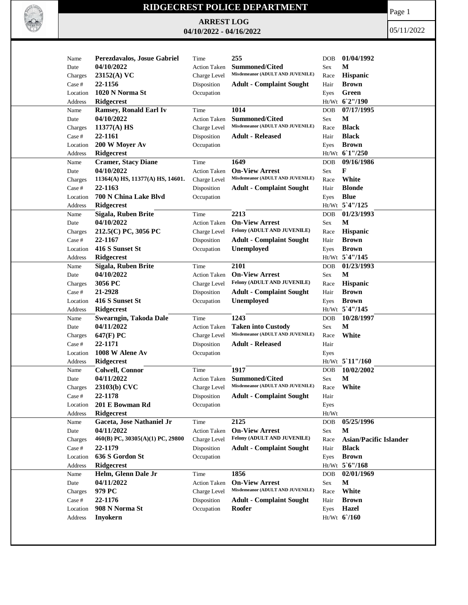

## **RIDGECREST POLICE DEPARTMENT**

**ARREST LOG 04/10/2022 - 04/16/2022** Page 1

05/11/2022

|                   | Perezdavalos, Josue Gabriel      | Time                | 255                                                           |              | 01/04/1992                    |
|-------------------|----------------------------------|---------------------|---------------------------------------------------------------|--------------|-------------------------------|
| Name              | 04/10/2022                       |                     | <b>Summoned/Cited</b>                                         | <b>DOB</b>   | М                             |
| Date              |                                  | <b>Action Taken</b> | Misdemeanor (ADULT AND JUVENILE)                              | Sex          |                               |
| Charges           | 23152(A) VC                      | Charge Level        |                                                               | Race         | Hispanic                      |
| Case #            | 22-1156                          | Disposition         | <b>Adult - Complaint Sought</b>                               | Hair         | <b>Brown</b>                  |
| Location          | 1020 N Norma St                  | Occupation          |                                                               | Eyes         | Green                         |
| Address           | <b>Ridgecrest</b>                |                     |                                                               |              | Ht/Wt 62"/190                 |
| Name              | <b>Ramsey, Ronald Earl Iv</b>    | Time                | 1014                                                          | <b>DOB</b>   | 07/17/1995                    |
| Date              | 04/10/2022                       | <b>Action Taken</b> | <b>Summoned/Cited</b>                                         | <b>Sex</b>   | $\mathbf M$                   |
| Charges           | 11377(A) HS                      | Charge Level        | Misdemeanor (ADULT AND JUVENILE)                              | Race         | <b>Black</b>                  |
| Case #            | 22-1161                          | Disposition         | <b>Adult - Released</b>                                       | Hair         | <b>Black</b>                  |
| Location          | 200 W Moyer Av                   | Occupation          |                                                               | Eyes         | <b>Brown</b>                  |
| Address           | <b>Ridgecrest</b>                |                     |                                                               |              | Ht/Wt 61"/250                 |
| Name              | <b>Cramer, Stacy Diane</b>       | Time                | 1649                                                          | <b>DOB</b>   | 09/16/1986                    |
| Date              | 04/10/2022                       | <b>Action Taken</b> | <b>On-View Arrest</b>                                         | Sex          | F                             |
| Charges           | 11364(A) HS, 11377(A) HS, 14601. | Charge Level        | Misdemeanor (ADULT AND JUVENILE)                              | Race         | White                         |
| Case #            | 22-1163                          | Disposition         | <b>Adult - Complaint Sought</b>                               | Hair         | <b>Blonde</b>                 |
| Location          | 700 N China Lake Blvd            | Occupation          |                                                               | Eyes         | <b>Blue</b>                   |
| Address           | <b>Ridgecrest</b>                |                     |                                                               |              | Ht/Wt 5'4"/125                |
| Name              | Sigala, Ruben Brite              | Time                | 2213                                                          | <b>DOB</b>   | 01/23/1993                    |
| Date              | 04/10/2022                       | <b>Action Taken</b> | <b>On-View Arrest</b>                                         | Sex          | М                             |
| Charges           | 212.5(C) PC, 3056 PC             | Charge Level        | Felony (ADULT AND JUVENILE)                                   | Race         | Hispanic                      |
| Case #            | 22-1167                          | Disposition         | <b>Adult - Complaint Sought</b>                               | Hair         | <b>Brown</b>                  |
| Location          | 416 S Sunset St                  | Occupation          | Unemployed                                                    | Eyes         | <b>Brown</b>                  |
| Address           | Ridgecrest                       |                     |                                                               |              | Ht/Wt 5'4"/145                |
| Name              | Sigala, Ruben Brite              | Time                | 2101                                                          | <b>DOB</b>   | 01/23/1993                    |
| Date              | 04/10/2022                       | <b>Action Taken</b> | <b>On-View Arrest</b>                                         | <b>Sex</b>   | $\mathbf{M}$                  |
|                   | 3056 PC                          | Charge Level        | Felony (ADULT AND JUVENILE)                                   |              | <b>Hispanic</b>               |
| Charges<br>Case # | 21-2928                          |                     |                                                               | Race<br>Hair | <b>Brown</b>                  |
|                   |                                  | Disposition         | <b>Adult - Complaint Sought</b>                               |              |                               |
| Location          | 416 S Sunset St                  | Occupation          | Unemployed                                                    | Eyes         | <b>Brown</b>                  |
| Address           | Ridgecrest                       |                     |                                                               |              | Ht/Wt 5'4"/145<br>10/28/1997  |
| Name              | Swearngin, Takoda Dale           | Time                | 1243                                                          | <b>DOB</b>   |                               |
| Date              | 04/11/2022                       | <b>Action Taken</b> | <b>Taken into Custody</b><br>Misdemeanor (ADULT AND JUVENILE) | Sex          | М                             |
| Charges           | 647(F) PC                        | Charge Level        |                                                               | Race         | White                         |
| Case #            | 22-1171                          | Disposition         | <b>Adult - Released</b>                                       | Hair         |                               |
| Location          | 1008 W Alene Av                  | Occupation          |                                                               | Eyes         |                               |
| Address           | Ridgecrest                       |                     |                                                               |              | $Ht/Wt$ 5 11"/160             |
| Name              | <b>Colwell, Connor</b>           | Time                | 1917                                                          | <b>DOB</b>   | 10/02/2002                    |
| Date              | 04/11/2022                       | <b>Action Taken</b> | <b>Summoned/Cited</b>                                         | Sex          | М                             |
| Charges           | 23103(b) CVC                     | Charge Level        | Misdemeanor (ADULT AND JUVENILE)                              | Race         | White                         |
| Case #            | 22-1178                          | Disposition         | <b>Adult - Complaint Sought</b>                               | Hair         |                               |
| Location          | 201 E Bowman Rd                  | Occupation          |                                                               | Eyes         |                               |
| Address           | Ridgecrest                       |                     |                                                               | $Ht/Wt$      |                               |
| Name              | Gaceta, Jose Nathaniel Jr        | Time                | 2125                                                          | <b>DOB</b>   | 05/25/1996                    |
| Date              | 04/11/2022                       | <b>Action Taken</b> | <b>On-View Arrest</b>                                         | <b>Sex</b>   | М                             |
| Charges           | 460(B) PC, 30305(A)(1) PC, 29800 | Charge Level        | Felony (ADULT AND JUVENILE)                                   | Race         | <b>Asian/Pacific Islander</b> |
| Case #            | 22-1179                          | Disposition         | <b>Adult - Complaint Sought</b>                               | Hair         | <b>Black</b>                  |
| Location          | 636 S Gordon St                  | Occupation          |                                                               | Eyes         | <b>Brown</b>                  |
| Address           | Ridgecrest                       |                     |                                                               |              | $Ht/Wt$ 5 6"/168              |
| Name              | Helm, Glenn Dale Jr              | Time                | 1856                                                          | DOB          | 02/01/1969                    |
| Date              | 04/11/2022                       | <b>Action Taken</b> | <b>On-View Arrest</b>                                         | Sex          | M                             |
| Charges           | 979 PC                           | Charge Level        | Misdemeanor (ADULT AND JUVENILE)                              | Race         | White                         |
| Case #            | 22-1176                          | Disposition         | <b>Adult - Complaint Sought</b>                               | Hair         | <b>Brown</b>                  |
| Location          | 908 N Norma St                   | Occupation          | Roofer                                                        | Eyes         | <b>Hazel</b>                  |
| Address           | <b>Inyokern</b>                  |                     |                                                               |              | Ht/Wt 6'/160                  |
|                   |                                  |                     |                                                               |              |                               |
|                   |                                  |                     |                                                               |              |                               |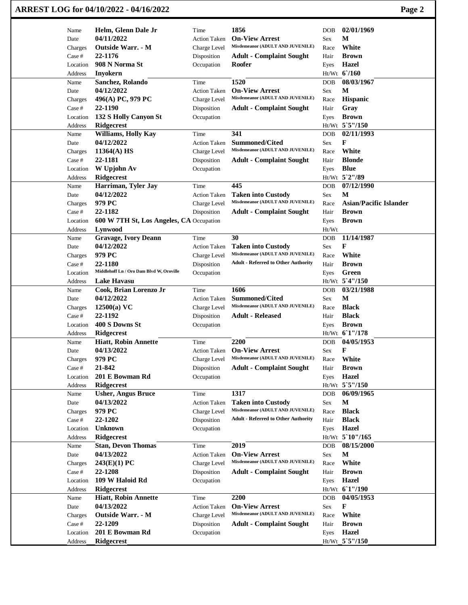|                   | ARREST LOG for 04/10/2022 - 04/16/2022    |                     |                                                           |              | Page 2                        |
|-------------------|-------------------------------------------|---------------------|-----------------------------------------------------------|--------------|-------------------------------|
| Name              | Helm, Glenn Dale Jr                       | Time                | 1856                                                      | <b>DOB</b>   | 02/01/1969                    |
| Date              | 04/11/2022                                | <b>Action Taken</b> | <b>On-View Arrest</b>                                     | Sex          | М                             |
| Charges           | Outside Warr. - M                         | Charge Level        | Misdemeanor (ADULT AND JUVENILE)                          | Race         | White                         |
| Case #            | 22-1176                                   | Disposition         | <b>Adult - Complaint Sought</b>                           | Hair         | <b>Brown</b>                  |
| Location          | 908 N Norma St                            | Occupation          | Roofer                                                    | Eyes         | <b>Hazel</b>                  |
| Address           | <b>Inyokern</b>                           |                     |                                                           |              | Ht/Wt 6'/160                  |
| Name              | Sanchez, Rolando                          | Time                | 1520                                                      | DOB          | 08/03/1967                    |
| Date              | 04/12/2022                                | <b>Action Taken</b> | <b>On-View Arrest</b>                                     | Sex          | М                             |
| Charges           | 496(A) PC, 979 PC                         | Charge Level        | Misdemeanor (ADULT AND JUVENILE)                          | Race         | Hispanic                      |
| Case #            | 22-1190                                   | Disposition         | <b>Adult - Complaint Sought</b>                           | Hair         | Gray                          |
| Location          | 132 S Holly Canyon St                     | Occupation          |                                                           | Eyes         | <b>Brown</b>                  |
| Address           | <b>Ridgecrest</b>                         |                     |                                                           |              | Ht/Wt 5`5"/150                |
| Name              | Williams, Holly Kay                       | Time                | 341                                                       | DOB          | 02/11/1993<br>F               |
| Date              | 04/12/2022                                | <b>Action Taken</b> | <b>Summoned/Cited</b><br>Misdemeanor (ADULT AND JUVENILE) | Sex          | White                         |
| Charges<br>Case # | $11364(A)$ HS<br>22-1181                  | Charge Level        |                                                           | Race         | <b>Blonde</b>                 |
|                   |                                           | Disposition         | <b>Adult - Complaint Sought</b>                           | Hair         |                               |
| Location          | W Upjohn Av<br>Ridgecrest                 | Occupation          |                                                           | Eyes         | <b>Blue</b><br>Ht/Wt 5`2"/89  |
| Address<br>Name   | Harriman, Tyler Jay                       | Time                | 445                                                       | <b>DOB</b>   | 07/12/1990                    |
| Date              | 04/12/2022                                | <b>Action Taken</b> | <b>Taken into Custody</b>                                 | Sex          | М                             |
| Charges           | 979 PC                                    | Charge Level        | Misdemeanor (ADULT AND JUVENILE)                          | Race         | <b>Asian/Pacific Islander</b> |
| Case #            | 22-1182                                   | Disposition         | <b>Adult - Complaint Sought</b>                           | Hair         | <b>Brown</b>                  |
| Location          | 600 W 7TH St, Los Angeles, CA Occupation  |                     |                                                           | Eyes         | <b>Brown</b>                  |
| Address           | Lynwood                                   |                     |                                                           | Ht/Wt        |                               |
| Name              | <b>Gravage, Ivory Deann</b>               | Time                | 30                                                        | <b>DOB</b>   | 11/14/1987                    |
| Date              | 04/12/2022                                | <b>Action Taken</b> | <b>Taken into Custody</b>                                 | Sex          | F                             |
| Charges           | 979 PC                                    | Charge Level        | Misdemeanor (ADULT AND JUVENILE)                          | Race         | White                         |
| Case #            | 22-1180                                   | Disposition         | <b>Adult - Referred to Other Authority</b>                | Hair         | <b>Brown</b>                  |
| Location          | Middlehoff Ln / Oro Dam Blvd W, Oroville  | Occupation          |                                                           | Eyes         | Green                         |
| Address           | <b>Lake Havasu</b>                        |                     |                                                           |              | Ht/Wt 5'4"/150                |
| Name              | Cook, Brian Lorenzo Jr                    | Time                | 1606                                                      | DOB          | 03/21/1988                    |
| Date              | 04/12/2022                                | <b>Action Taken</b> | <b>Summoned/Cited</b>                                     | Sex          | M                             |
| Charges           | $12500(a)$ VC                             | Charge Level        | Misdemeanor (ADULT AND JUVENILE)                          | Race         | <b>Black</b>                  |
| Case #            | 22-1192                                   | Disposition         | <b>Adult - Released</b>                                   | Hair         | <b>Black</b>                  |
| Location          | 400 S Downs St                            | Occupation          |                                                           | Eyes         | <b>Brown</b>                  |
| Address           | <b>Ridgecrest</b>                         |                     |                                                           |              | Ht/Wt 61"/178                 |
| Name              | <b>Hiatt, Robin Annette</b>               | Time                | 2200                                                      | DOB          | 04/05/1953                    |
| Date              | 04/13/2022                                | Action Taken        | <b>On-View Arrest</b>                                     | Sex          | F                             |
| Charges           | 979 PC                                    | Charge Level        | Misdemeanor (ADULT AND JUVENILE)                          | Race         | White                         |
| Case #            | 21-842                                    | Disposition         | <b>Adult - Complaint Sought</b>                           | Hair         | <b>Brown</b>                  |
| Location          | 201 E Bowman Rd                           | Occupation          |                                                           | Eyes         | <b>Hazel</b>                  |
| <b>Address</b>    | <b>Ridgecrest</b>                         |                     |                                                           |              | Ht/Wt 5`5"/150                |
| Name              | <b>Usher, Angus Bruce</b>                 | Time                | 1317                                                      | <b>DOB</b>   | 06/09/1965                    |
| Date              | 04/13/2022                                | <b>Action Taken</b> | <b>Taken into Custody</b>                                 | Sex          | M                             |
| Charges           | 979 PC                                    | Charge Level        | Misdemeanor (ADULT AND JUVENILE)                          | Race         | <b>Black</b>                  |
| Case #            | 22-1202                                   | Disposition         | <b>Adult - Referred to Other Authority</b>                | Hair         | <b>Black</b>                  |
| Location          | <b>Unknown</b>                            | Occupation          |                                                           | Eyes         | Hazel                         |
| Address           | <b>Ridgecrest</b>                         |                     |                                                           |              | Ht/Wt 5`10"/165               |
| Name              | <b>Stan, Devon Thomas</b>                 | Time                | 2019                                                      | DOB          | 08/15/2000                    |
| Date              | 04/13/2022                                | <b>Action Taken</b> | <b>On-View Arrest</b><br>Misdemeanor (ADULT AND JUVENILE) | Sex          | $\mathbf M$                   |
| Charges           | 243(E)(1) PC                              | Charge Level        |                                                           | Race         | White                         |
| Case #            | 22-1208                                   | Disposition         | <b>Adult - Complaint Sought</b>                           | Hair         | <b>Brown</b>                  |
| Location          | 109 W Haloid Rd                           | Occupation          |                                                           | Eyes         | <b>Hazel</b>                  |
| Address           | <b>Ridgecrest</b>                         |                     | 2200                                                      |              | Ht/Wt 61"/190                 |
| Name              | <b>Hiatt, Robin Annette</b><br>04/13/2022 | Time                | <b>On-View Arrest</b>                                     | <b>DOB</b>   | 04/05/1953<br>F               |
| Date              |                                           | <b>Action Taken</b> | Misdemeanor (ADULT AND JUVENILE)                          | Sex          | White                         |
| Charges<br>Case # | <b>Outside Warr. - M</b><br>22-1209       | Charge Level        |                                                           | Race<br>Hair | <b>Brown</b>                  |
| Location          | 201 E Bowman Rd                           | Disposition         | <b>Adult - Complaint Sought</b>                           |              | <b>Hazel</b>                  |
|                   | Ridgecrest                                | Occupation          |                                                           | Eyes         | Ht/Wt 5`5"/150                |
| Address           |                                           |                     |                                                           |              |                               |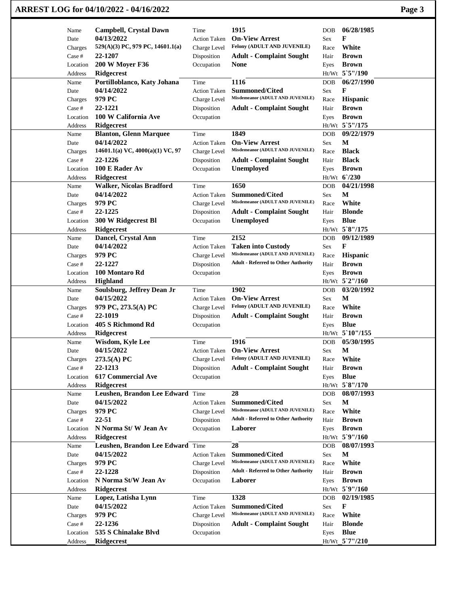|                   | ARREST LOG for 04/10/2022 - 04/16/2022      |                             |                                                           |              |                                | Page 3 |
|-------------------|---------------------------------------------|-----------------------------|-----------------------------------------------------------|--------------|--------------------------------|--------|
| Name              | <b>Campbell, Crystal Dawn</b>               | Time                        | 1915                                                      | <b>DOB</b>   | 06/28/1985                     |        |
| Date              | 04/13/2022                                  | <b>Action Taken</b>         | <b>On-View Arrest</b>                                     | Sex          | F                              |        |
| Charges           | 529(A)(3) PC, 979 PC, 14601.1(a)            | Charge Level                | Felony (ADULT AND JUVENILE)                               | Race         | White                          |        |
| Case #            | 22-1207                                     | Disposition                 | <b>Adult - Complaint Sought</b>                           | Hair         | <b>Brown</b>                   |        |
| Location          | <b>200 W Moyer F36</b>                      | Occupation                  | <b>None</b>                                               | Eyes         | <b>Brown</b>                   |        |
| Address           | <b>Ridgecrest</b>                           |                             |                                                           |              | Ht/Wt 5`5"/190                 |        |
| Name              | Portilloblanco, Katy Johana                 | Time                        | 1116                                                      | <b>DOB</b>   | 06/27/1990                     |        |
| Date              | 04/14/2022                                  | <b>Action Taken</b>         | <b>Summoned/Cited</b>                                     | Sex          | F                              |        |
| Charges           | 979 PC                                      | Charge Level                | Misdemeanor (ADULT AND JUVENILE)                          | Race         | Hispanic                       |        |
| Case #            | 22-1221                                     | Disposition                 | <b>Adult - Complaint Sought</b>                           | Hair         | <b>Brown</b>                   |        |
| Location          | 100 W California Ave                        | Occupation                  |                                                           | Eyes         | <b>Brown</b>                   |        |
| Address           | Ridgecrest                                  |                             |                                                           |              | Ht/Wt 5`5"/175                 |        |
| Name              | <b>Blanton, Glenn Marquee</b><br>04/14/2022 | Time                        | 1849<br><b>On-View Arrest</b>                             | <b>DOB</b>   | 09/22/1979<br>M                |        |
| Date              | 14601.1(a) VC, $4000(a)(1)$ VC, 97          | <b>Action Taken</b>         | Misdemeanor (ADULT AND JUVENILE)                          | Sex          | <b>Black</b>                   |        |
| Charges<br>Case # | 22-1226                                     | Charge Level<br>Disposition | <b>Adult - Complaint Sought</b>                           | Race<br>Hair | <b>Black</b>                   |        |
| Location          | 100 E Rader Av                              | Occupation                  | <b>Unemployed</b>                                         |              | <b>Brown</b>                   |        |
| Address           | <b>Ridgecrest</b>                           |                             |                                                           | Eyes         | Ht/Wt 6'/230                   |        |
| Name              | <b>Walker, Nicolas Bradford</b>             | Time                        | 1650                                                      | <b>DOB</b>   | 04/21/1998                     |        |
| Date              | 04/14/2022                                  | <b>Action Taken</b>         | <b>Summoned/Cited</b>                                     | Sex          | М                              |        |
| Charges           | 979 PC                                      | Charge Level                | Misdemeanor (ADULT AND JUVENILE)                          | Race         | White                          |        |
| Case #            | 22-1225                                     | Disposition                 | <b>Adult - Complaint Sought</b>                           | Hair         | <b>Blonde</b>                  |        |
| Location          | 300 W Ridgecrest Bl                         | Occupation                  | Unemployed                                                | Eyes         | <b>Blue</b>                    |        |
| Address           | Ridgecrest                                  |                             |                                                           |              | Ht/Wt 5`8"/175                 |        |
| Name              | Dancel, Crystal Ann                         | Time                        | 2152                                                      | <b>DOB</b>   | 09/12/1989                     |        |
| Date              | 04/14/2022                                  | <b>Action Taken</b>         | <b>Taken into Custody</b>                                 | Sex          | F                              |        |
| Charges           | 979 PC                                      | Charge Level                | Misdemeanor (ADULT AND JUVENILE)                          | Race         | Hispanic                       |        |
| Case #            | 22-1227                                     | Disposition                 | <b>Adult - Referred to Other Authority</b>                | Hair         | <b>Brown</b>                   |        |
| Location          | 100 Montaro Rd                              | Occupation                  |                                                           | Eyes         | <b>Brown</b>                   |        |
| Address           | <b>Highland</b>                             |                             |                                                           |              | Ht/Wt 5`2"/160                 |        |
| Name              | Soulsburg, Jeffrey Dean Jr                  | Time                        | 1902                                                      | <b>DOB</b>   | 03/20/1992                     |        |
| Date              | 04/15/2022                                  | <b>Action Taken</b>         | <b>On-View Arrest</b>                                     | Sex          | M                              |        |
| Charges           | 979 PC, 273.5(A) PC                         | Charge Level                | Felony (ADULT AND JUVENILE)                               | Race         | White                          |        |
| Case #            | 22-1019                                     | Disposition                 | <b>Adult - Complaint Sought</b>                           | Hair         | <b>Brown</b>                   |        |
| Location          | 405 S Richmond Rd                           | Occupation                  |                                                           | Eyes         | <b>Blue</b>                    |        |
| Address           | <b>Ridgecrest</b>                           |                             |                                                           |              | Ht/Wt 5`10"/155                |        |
| Name              | <b>Wisdom, Kyle Lee</b>                     | Time                        | 1916                                                      | <b>DOB</b>   | 05/30/1995                     |        |
| Date              | 04/15/2022                                  | <b>Action Taken</b>         | <b>On-View Arrest</b>                                     | Sex          | $\mathbf M$                    |        |
| Charges           | $273.5(A)$ PC                               | Charge Level                | Felony (ADULT AND JUVENILE)                               | Race         | White                          |        |
| Case #            | 22-1213                                     | Disposition                 | <b>Adult - Complaint Sought</b>                           | Hair         | <b>Brown</b>                   |        |
| Location          | <b>617 Commercial Ave</b>                   | Occupation                  |                                                           | Eyes         | <b>Blue</b>                    |        |
| Address           | Ridgecrest                                  |                             |                                                           |              | Ht/Wt 5`8"/170                 |        |
| Name              | Leushen, Brandon Lee Edward Time            |                             | 28                                                        | <b>DOB</b>   | 08/07/1993                     |        |
| Date              | 04/15/2022                                  | <b>Action Taken</b>         | <b>Summoned/Cited</b><br>Misdemeanor (ADULT AND JUVENILE) | Sex          | M                              |        |
| Charges           | 979 PC                                      | Charge Level                | <b>Adult - Referred to Other Authority</b>                | Race         | White                          |        |
| Case #            | 22-51<br>N Norma St/W Jean Av               | Disposition                 | Laborer                                                   | Hair         | <b>Brown</b>                   |        |
| Location          | <b>Ridgecrest</b>                           | Occupation                  |                                                           | Eyes         | <b>Brown</b><br>Ht/Wt 5`9"/160 |        |
| Address<br>Name   | Leushen, Brandon Lee Edward Time            |                             | 28                                                        | DOB          | 08/07/1993                     |        |
| Date              | 04/15/2022                                  | <b>Action Taken</b>         | <b>Summoned/Cited</b>                                     | Sex          | $\mathbf M$                    |        |
| Charges           | 979 PC                                      | Charge Level                | Misdemeanor (ADULT AND JUVENILE)                          | Race         | White                          |        |
| Case #            | 22-1228                                     | Disposition                 | <b>Adult - Referred to Other Authority</b>                | Hair         | <b>Brown</b>                   |        |
| Location          | N Norma St/W Jean Av                        | Occupation                  | Laborer                                                   | Eyes         | <b>Brown</b>                   |        |
| Address           | <b>Ridgecrest</b>                           |                             |                                                           |              | Ht/Wt 5`9"/160                 |        |
| Name              | Lopez, Latisha Lynn                         | Time                        | 1328                                                      | DOB          | 02/19/1985                     |        |
| Date              | 04/15/2022                                  | <b>Action Taken</b>         | <b>Summoned/Cited</b>                                     | Sex          | F                              |        |
| Charges           | 979 PC                                      | Charge Level                | Misdemeanor (ADULT AND JUVENILE)                          | Race         | White                          |        |
| Case #            | 22-1236                                     | Disposition                 | <b>Adult - Complaint Sought</b>                           | Hair         | <b>Blonde</b>                  |        |
| Location          | 535 S Chinalake Blvd                        | Occupation                  |                                                           | Eyes         | <b>Blue</b>                    |        |
| Address           | Ridgecrest                                  |                             |                                                           |              | Ht/Wt 5`7"/210                 |        |
|                   |                                             |                             |                                                           |              |                                |        |